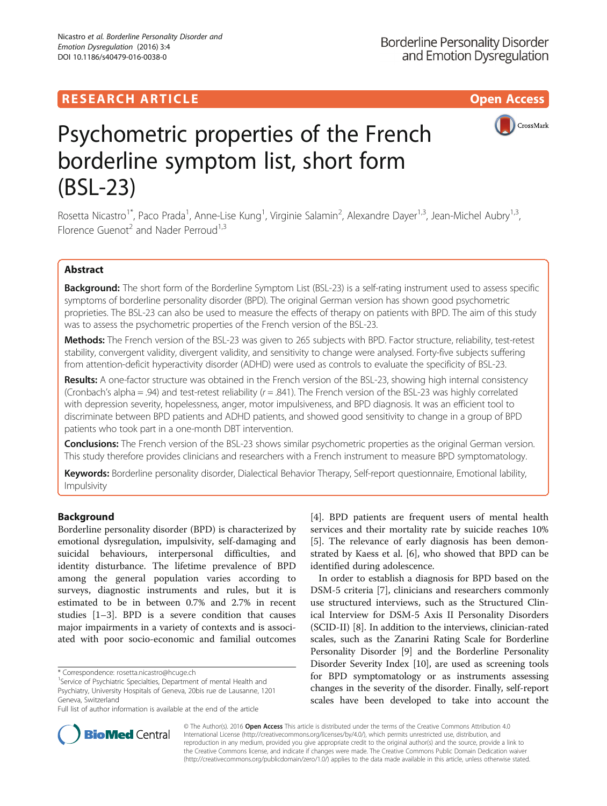## RESEARCH ARTICLE **External of the Contract Contract Contract Contract Contract Contract Contract Contract Contract Contract Contract Contract Contract Contract Contract Contract Contract Contract Contract Contract Contract**



# Psychometric properties of the French borderline symptom list, short form (BSL-23)

Rosetta Nicastro<sup>1\*</sup>, Paco Prada<sup>1</sup>, Anne-Lise Kung<sup>1</sup>, Virginie Salamin<sup>2</sup>, Alexandre Dayer<sup>1,3</sup>, Jean-Michel Aubry<sup>1,3</sup>, Florence Guenot<sup>2</sup> and Nader Perroud<sup>1,3</sup>

### Abstract

Background: The short form of the Borderline Symptom List (BSL-23) is a self-rating instrument used to assess specific symptoms of borderline personality disorder (BPD). The original German version has shown good psychometric proprieties. The BSL-23 can also be used to measure the effects of therapy on patients with BPD. The aim of this study was to assess the psychometric properties of the French version of the BSL-23.

Methods: The French version of the BSL-23 was given to 265 subjects with BPD. Factor structure, reliability, test-retest stability, convergent validity, divergent validity, and sensitivity to change were analysed. Forty-five subjects suffering from attention-deficit hyperactivity disorder (ADHD) were used as controls to evaluate the specificity of BSL-23.

Results: A one-factor structure was obtained in the French version of the BSL-23, showing high internal consistency (Cronbach's alpha = .94) and test-retest reliability  $(r = .841)$ . The French version of the BSL-23 was highly correlated with depression severity, hopelessness, anger, motor impulsiveness, and BPD diagnosis. It was an efficient tool to discriminate between BPD patients and ADHD patients, and showed good sensitivity to change in a group of BPD patients who took part in a one-month DBT intervention.

Conclusions: The French version of the BSL-23 shows similar psychometric properties as the original German version. This study therefore provides clinicians and researchers with a French instrument to measure BPD symptomatology.

Keywords: Borderline personality disorder, Dialectical Behavior Therapy, Self-report questionnaire, Emotional lability, Impulsivity

### Background

Borderline personality disorder (BPD) is characterized by emotional dysregulation, impulsivity, self-damaging and suicidal behaviours, interpersonal difficulties, and identity disturbance. The lifetime prevalence of BPD among the general population varies according to surveys, diagnostic instruments and rules, but it is estimated to be in between 0.7% and 2.7% in recent studies [[1](#page-7-0)–[3\]](#page-7-0). BPD is a severe condition that causes major impairments in a variety of contexts and is associated with poor socio-economic and familial outcomes

[[4\]](#page-7-0). BPD patients are frequent users of mental health services and their mortality rate by suicide reaches 10% [[5\]](#page-7-0). The relevance of early diagnosis has been demonstrated by Kaess et al. [[6\]](#page-7-0), who showed that BPD can be identified during adolescence.

In order to establish a diagnosis for BPD based on the DSM-5 criteria [[7\]](#page-7-0), clinicians and researchers commonly use structured interviews, such as the Structured Clinical Interview for DSM-5 Axis II Personality Disorders (SCID-II) [\[8](#page-7-0)]. In addition to the interviews, clinician-rated scales, such as the Zanarini Rating Scale for Borderline Personality Disorder [[9\]](#page-7-0) and the Borderline Personality Disorder Severity Index [\[10](#page-7-0)], are used as screening tools for BPD symptomatology or as instruments assessing changes in the severity of the disorder. Finally, self-report scales have been developed to take into account the



© The Author(s). 2016 Open Access This article is distributed under the terms of the Creative Commons Attribution 4.0 International License [\(http://creativecommons.org/licenses/by/4.0/](http://creativecommons.org/licenses/by/4.0/)), which permits unrestricted use, distribution, and reproduction in any medium, provided you give appropriate credit to the original author(s) and the source, provide a link to the Creative Commons license, and indicate if changes were made. The Creative Commons Public Domain Dedication waiver [\(http://creativecommons.org/publicdomain/zero/1.0/](http://creativecommons.org/publicdomain/zero/1.0/)) applies to the data made available in this article, unless otherwise stated.

<sup>\*</sup> Correspondence: [rosetta.nicastro@hcuge.ch](mailto:rosetta.nicastro@hcuge.ch) <sup>1</sup>

<sup>&</sup>lt;sup>1</sup> Service of Psychiatric Specialties, Department of mental Health and Psychiatry, University Hospitals of Geneva, 20bis rue de Lausanne, 1201 Geneva, Switzerland

Full list of author information is available at the end of the article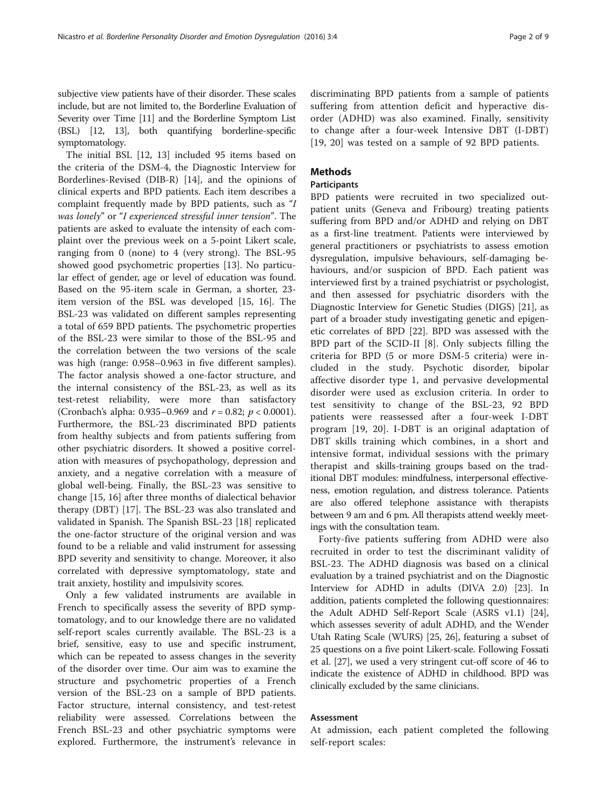subjective view patients have of their disorder. These scales include, but are not limited to, the Borderline Evaluation of Severity over Time [\[11\]](#page-7-0) and the Borderline Symptom List (BSL) [\[12, 13\]](#page-7-0), both quantifying borderline-specific symptomatology.

The initial BSL [\[12](#page-7-0), [13\]](#page-7-0) included 95 items based on the criteria of the DSM-4, the Diagnostic Interview for Borderlines-Revised (DIB-R) [[14](#page-7-0)], and the opinions of clinical experts and BPD patients. Each item describes a complaint frequently made by BPD patients, such as "I was lonely" or "I experienced stressful inner tension". The patients are asked to evaluate the intensity of each complaint over the previous week on a 5-point Likert scale, ranging from 0 (none) to 4 (very strong). The BSL-95 showed good psychometric properties [[13](#page-7-0)]. No particular effect of gender, age or level of education was found. Based on the 95-item scale in German, a shorter, 23 item version of the BSL was developed [\[15, 16\]](#page-7-0). The BSL-23 was validated on different samples representing a total of 659 BPD patients. The psychometric properties of the BSL-23 were similar to those of the BSL-95 and the correlation between the two versions of the scale was high (range: 0.958–0.963 in five different samples). The factor analysis showed a one-factor structure, and the internal consistency of the BSL-23, as well as its test-retest reliability, were more than satisfactory (Cronbach's alpha: 0.935–0.969 and  $r = 0.82$ ;  $p < 0.0001$ ). Furthermore, the BSL-23 discriminated BPD patients from healthy subjects and from patients suffering from other psychiatric disorders. It showed a positive correlation with measures of psychopathology, depression and anxiety, and a negative correlation with a measure of global well-being. Finally, the BSL-23 was sensitive to change [\[15](#page-7-0), [16](#page-7-0)] after three months of dialectical behavior therapy (DBT) [\[17\]](#page-7-0). The BSL-23 was also translated and validated in Spanish. The Spanish BSL-23 [\[18](#page-7-0)] replicated the one-factor structure of the original version and was found to be a reliable and valid instrument for assessing BPD severity and sensitivity to change. Moreover, it also correlated with depressive symptomatology, state and trait anxiety, hostility and impulsivity scores.

Only a few validated instruments are available in French to specifically assess the severity of BPD symptomatology, and to our knowledge there are no validated self-report scales currently available. The BSL-23 is a brief, sensitive, easy to use and specific instrument, which can be repeated to assess changes in the severity of the disorder over time. Our aim was to examine the structure and psychometric properties of a French version of the BSL-23 on a sample of BPD patients. Factor structure, internal consistency, and test-retest reliability were assessed. Correlations between the French BSL-23 and other psychiatric symptoms were explored. Furthermore, the instrument's relevance in

discriminating BPD patients from a sample of patients suffering from attention deficit and hyperactive disorder (ADHD) was also examined. Finally, sensitivity to change after a four-week Intensive DBT (I-DBT) [[19, 20](#page-7-0)] was tested on a sample of 92 BPD patients.

### Methods

### Participants

BPD patients were recruited in two specialized outpatient units (Geneva and Fribourg) treating patients suffering from BPD and/or ADHD and relying on DBT as a first-line treatment. Patients were interviewed by general practitioners or psychiatrists to assess emotion dysregulation, impulsive behaviours, self-damaging behaviours, and/or suspicion of BPD. Each patient was interviewed first by a trained psychiatrist or psychologist, and then assessed for psychiatric disorders with the Diagnostic Interview for Genetic Studies (DIGS) [[21\]](#page-7-0), as part of a broader study investigating genetic and epigenetic correlates of BPD [[22\]](#page-7-0). BPD was assessed with the BPD part of the SCID-II [[8\]](#page-7-0). Only subjects filling the criteria for BPD (5 or more DSM-5 criteria) were included in the study. Psychotic disorder, bipolar affective disorder type 1, and pervasive developmental disorder were used as exclusion criteria. In order to test sensitivity to change of the BSL-23, 92 BPD patients were reassessed after a four-week I-DBT program [[19, 20\]](#page-7-0). I-DBT is an original adaptation of DBT skills training which combines, in a short and intensive format, individual sessions with the primary therapist and skills-training groups based on the traditional DBT modules: mindfulness, interpersonal effectiveness, emotion regulation, and distress tolerance. Patients are also offered telephone assistance with therapists between 9 am and 6 pm. All therapists attend weekly meetings with the consultation team.

Forty-five patients suffering from ADHD were also recruited in order to test the discriminant validity of BSL-23. The ADHD diagnosis was based on a clinical evaluation by a trained psychiatrist and on the Diagnostic Interview for ADHD in adults (DIVA 2.0) [\[23\]](#page-7-0). In addition, patients completed the following questionnaires: the Adult ADHD Self-Report Scale (ASRS v1.1) [[24](#page-7-0)], which assesses severity of adult ADHD, and the Wender Utah Rating Scale (WURS) [[25](#page-7-0), [26\]](#page-7-0), featuring a subset of 25 questions on a five point Likert-scale. Following Fossati et al. [[27](#page-7-0)], we used a very stringent cut-off score of 46 to indicate the existence of ADHD in childhood. BPD was clinically excluded by the same clinicians.

### Assessment

At admission, each patient completed the following self-report scales: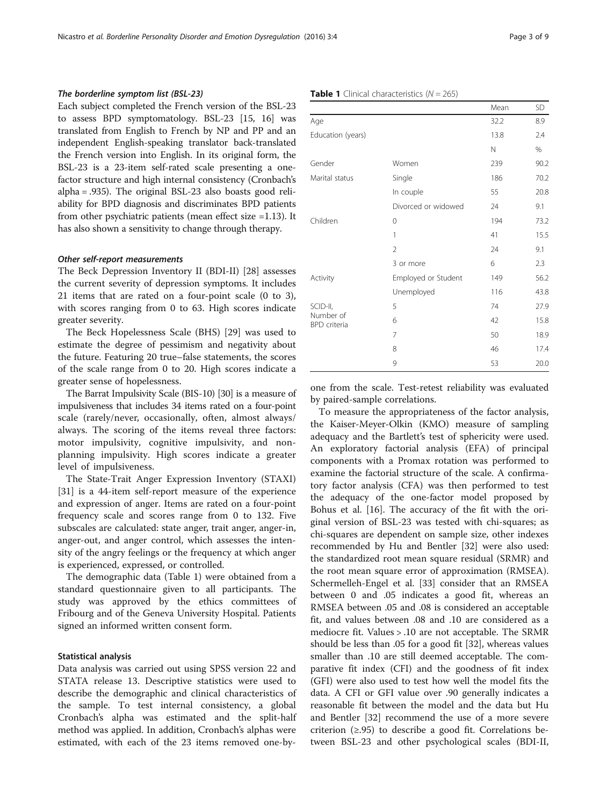### <span id="page-2-0"></span>The borderline symptom list (BSL-23)

Each subject completed the French version of the BSL-23 to assess BPD symptomatology. BSL-23 [[15](#page-7-0), [16](#page-7-0)] was translated from English to French by NP and PP and an independent English-speaking translator back-translated the French version into English. In its original form, the BSL-23 is a 23-item self-rated scale presenting a onefactor structure and high internal consistency (Cronbach's alpha = .935). The original BSL-23 also boasts good reliability for BPD diagnosis and discriminates BPD patients from other psychiatric patients (mean effect size =1.13). It has also shown a sensitivity to change through therapy.

### Other self-report measurements

The Beck Depression Inventory II (BDI-II) [[28](#page-7-0)] assesses the current severity of depression symptoms. It includes 21 items that are rated on a four-point scale (0 to 3), with scores ranging from 0 to 63. High scores indicate greater severity.

The Beck Hopelessness Scale (BHS) [\[29](#page-7-0)] was used to estimate the degree of pessimism and negativity about the future. Featuring 20 true–false statements, the scores of the scale range from 0 to 20. High scores indicate a greater sense of hopelessness.

The Barrat Impulsivity Scale (BIS-10) [[30\]](#page-7-0) is a measure of impulsiveness that includes 34 items rated on a four-point scale (rarely/never, occasionally, often, almost always/ always. The scoring of the items reveal three factors: motor impulsivity, cognitive impulsivity, and nonplanning impulsivity. High scores indicate a greater level of impulsiveness.

The State-Trait Anger Expression Inventory (STAXI) [[31\]](#page-7-0) is a 44-item self-report measure of the experience and expression of anger. Items are rated on a four-point frequency scale and scores range from 0 to 132. Five subscales are calculated: state anger, trait anger, anger-in, anger-out, and anger control, which assesses the intensity of the angry feelings or the frequency at which anger is experienced, expressed, or controlled.

The demographic data (Table 1) were obtained from a standard questionnaire given to all participants. The study was approved by the ethics committees of Fribourg and of the Geneva University Hospital. Patients signed an informed written consent form.

### Statistical analysis

Data analysis was carried out using SPSS version 22 and STATA release 13. Descriptive statistics were used to describe the demographic and clinical characteristics of the sample. To test internal consistency, a global Cronbach's alpha was estimated and the split-half method was applied. In addition, Cronbach's alphas were estimated, with each of the 23 items removed one-by-

|                                  |                     | Mean | <b>SD</b> |
|----------------------------------|---------------------|------|-----------|
| Age                              | 32.2                | 8.9  |           |
| Education (years)                |                     | 13.8 | 2.4       |
|                                  |                     | N    | $\%$      |
| Gender                           | Women               | 239  | 90.2      |
| Marital status                   | Single              | 186  | 70.2      |
|                                  | In couple           | 55   | 20.8      |
|                                  | Divorced or widowed | 24   | 9.1       |
| Children                         | 0                   | 194  | 73.2      |
|                                  | 1                   | 41   | 15.5      |
|                                  | $\overline{2}$      | 24   | 9.1       |
|                                  | 3 or more           | 6    | 2.3       |
| Activity                         | Employed or Student | 149  | 56.2      |
|                                  | Unemployed          | 116  | 43.8      |
| SCID-II,                         | 5                   | 74   | 27.9      |
| Number of<br><b>BPD</b> criteria | 6                   | 42   | 15.8      |
|                                  | 7                   | 50   | 18.9      |
|                                  | 8                   | 46   | 17.4      |
|                                  | 9                   | 53   | 20.0      |

one from the scale. Test-retest reliability was evaluated by paired-sample correlations.

To measure the appropriateness of the factor analysis, the Kaiser-Meyer-Olkin (KMO) measure of sampling adequacy and the Bartlett's test of sphericity were used. An exploratory factorial analysis (EFA) of principal components with a Promax rotation was performed to examine the factorial structure of the scale. A confirmatory factor analysis (CFA) was then performed to test the adequacy of the one-factor model proposed by Bohus et al. [[16\]](#page-7-0). The accuracy of the fit with the original version of BSL-23 was tested with chi-squares; as chi-squares are dependent on sample size, other indexes recommended by Hu and Bentler [\[32\]](#page-7-0) were also used: the standardized root mean square residual (SRMR) and the root mean square error of approximation (RMSEA). Schermelleh-Engel et al. [\[33](#page-8-0)] consider that an RMSEA between 0 and .05 indicates a good fit, whereas an RMSEA between .05 and .08 is considered an acceptable fit, and values between .08 and .10 are considered as a mediocre fit. Values > .10 are not acceptable. The SRMR should be less than .05 for a good fit [[32\]](#page-7-0), whereas values smaller than .10 are still deemed acceptable. The comparative fit index (CFI) and the goodness of fit index (GFI) were also used to test how well the model fits the data. A CFI or GFI value over .90 generally indicates a reasonable fit between the model and the data but Hu and Bentler [\[32\]](#page-7-0) recommend the use of a more severe criterion  $(≥.95)$  to describe a good fit. Correlations between BSL-23 and other psychological scales (BDI-II,

### **Table 1** Clinical characteristics  $(N = 265)$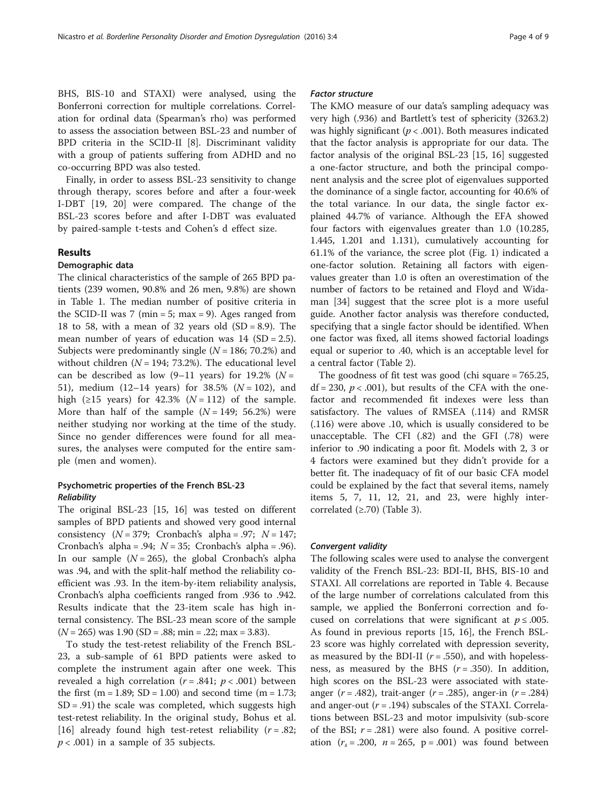BHS, BIS-10 and STAXI) were analysed, using the Bonferroni correction for multiple correlations. Correlation for ordinal data (Spearman's rho) was performed to assess the association between BSL-23 and number of BPD criteria in the SCID-II [\[8\]](#page-7-0). Discriminant validity with a group of patients suffering from ADHD and no co-occurring BPD was also tested.

Finally, in order to assess BSL-23 sensitivity to change through therapy, scores before and after a four-week I-DBT [[19, 20](#page-7-0)] were compared. The change of the BSL-23 scores before and after I-DBT was evaluated by paired-sample t-tests and Cohen's d effect size.

### Results

### Demographic data

The clinical characteristics of the sample of 265 BPD patients (239 women, 90.8% and 26 men, 9.8%) are shown in Table [1.](#page-2-0) The median number of positive criteria in the SCID-II was 7 (min  $= 5$ ; max  $= 9$ ). Ages ranged from 18 to 58, with a mean of 32 years old  $(SD = 8.9)$ . The mean number of years of education was  $14$  (SD = 2.5). Subjects were predominantly single  $(N = 186; 70.2%)$  and without children ( $N = 194$ ; 73.2%). The educational level can be described as low  $(9-11 \text{ years})$  for 19.2%  $(N =$ 51), medium (12-14 years) for 38.5% ( $N = 102$ ), and high ( $\geq$ 15 years) for 42.3% (N = 112) of the sample. More than half of the sample  $(N = 149; 56.2%)$  were neither studying nor working at the time of the study. Since no gender differences were found for all measures, the analyses were computed for the entire sample (men and women).

### Psychometric properties of the French BSL-23 **Reliability**

The original BSL-23 [\[15](#page-7-0), [16\]](#page-7-0) was tested on different samples of BPD patients and showed very good internal consistency  $(N = 379;$  Cronbach's alpha = .97;  $N = 147;$ Cronbach's alpha = .94;  $N = 35$ ; Cronbach's alpha = .96). In our sample  $(N = 265)$ , the global Cronbach's alpha was .94, and with the split-half method the reliability coefficient was .93. In the item-by-item reliability analysis, Cronbach's alpha coefficients ranged from .936 to .942. Results indicate that the 23-item scale has high internal consistency. The BSL-23 mean score of the sample  $(N = 265)$  was 1.90 (SD = .88; min = .22; max = 3.83).

To study the test-retest reliability of the French BSL-23, a sub-sample of 61 BPD patients were asked to complete the instrument again after one week. This revealed a high correlation ( $r = .841$ ;  $p < .001$ ) between the first (m = 1.89; SD = 1.00) and second time (m = 1.73;  $SD = .91$ ) the scale was completed, which suggests high test-retest reliability. In the original study, Bohus et al. [[16\]](#page-7-0) already found high test-retest reliability  $(r=.82; ...)$  $p < .001$ ) in a sample of 35 subjects.

### Factor structure

The KMO measure of our data's sampling adequacy was very high (.936) and Bartlett's test of sphericity (3263.2) was highly significant ( $p < .001$ ). Both measures indicated that the factor analysis is appropriate for our data. The factor analysis of the original BSL-23 [[15, 16](#page-7-0)] suggested a one-factor structure, and both the principal component analysis and the scree plot of eigenvalues supported the dominance of a single factor, accounting for 40.6% of the total variance. In our data, the single factor explained 44.7% of variance. Although the EFA showed four factors with eigenvalues greater than 1.0 (10.285, 1.445, 1.201 and 1.131), cumulatively accounting for 61.1% of the variance, the scree plot (Fig. [1](#page-4-0)) indicated a one-factor solution. Retaining all factors with eigenvalues greater than 1.0 is often an overestimation of the number of factors to be retained and Floyd and Widaman [[34](#page-8-0)] suggest that the scree plot is a more useful guide. Another factor analysis was therefore conducted, specifying that a single factor should be identified. When one factor was fixed, all items showed factorial loadings equal or superior to .40, which is an acceptable level for a central factor (Table [2\)](#page-5-0).

The goodness of fit test was good (chi square = 765.25, df = 230,  $p < .001$ ), but results of the CFA with the onefactor and recommended fit indexes were less than satisfactory. The values of RMSEA (.114) and RMSR (.116) were above .10, which is usually considered to be unacceptable. The CFI (.82) and the GFI (.78) were inferior to .90 indicating a poor fit. Models with 2, 3 or 4 factors were examined but they didn't provide for a better fit. The inadequacy of fit of our basic CFA model could be explained by the fact that several items, namely items 5, 7, 11, 12, 21, and 23, were highly intercorrelated  $(\geq.70)$  (Table [3\)](#page-6-0).

### Convergent validity

The following scales were used to analyse the convergent validity of the French BSL-23: BDI-II, BHS, BIS-10 and STAXI. All correlations are reported in Table [4.](#page-6-0) Because of the large number of correlations calculated from this sample, we applied the Bonferroni correction and focused on correlations that were significant at  $p \leq .005$ . As found in previous reports [\[15](#page-7-0), [16](#page-7-0)], the French BSL-23 score was highly correlated with depression severity, as measured by the BDI-II ( $r = .550$ ), and with hopelessness, as measured by the BHS  $(r = .350)$ . In addition, high scores on the BSL-23 were associated with stateanger ( $r = .482$ ), trait-anger ( $r = .285$ ), anger-in ( $r = .284$ ) and anger-out  $(r = .194)$  subscales of the STAXI. Correlations between BSL-23 and motor impulsivity (sub-score of the BSI;  $r = .281$ ) were also found. A positive correlation  $(r_s = .200, n = 265, p = .001)$  was found between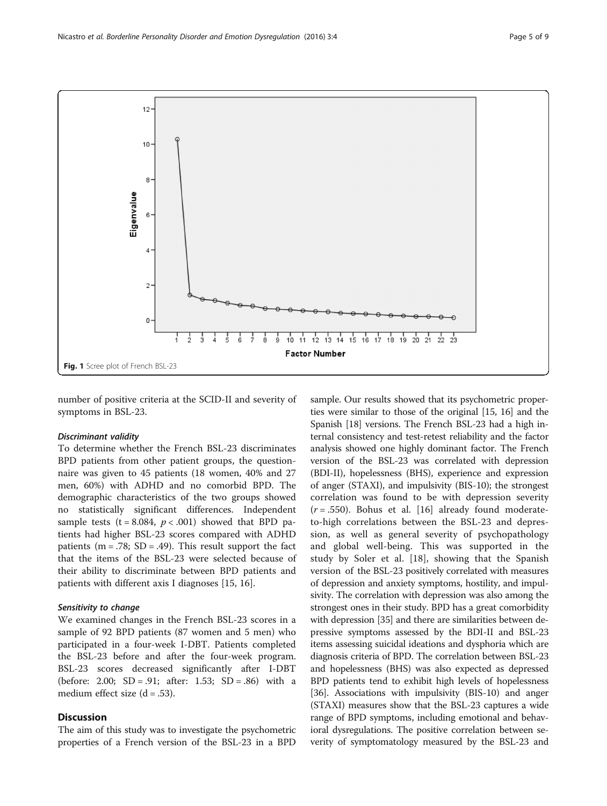<span id="page-4-0"></span>

number of positive criteria at the SCID-II and severity of symptoms in BSL-23.

### Discriminant validity

To determine whether the French BSL-23 discriminates BPD patients from other patient groups, the questionnaire was given to 45 patients (18 women, 40% and 27 men, 60%) with ADHD and no comorbid BPD. The demographic characteristics of the two groups showed no statistically significant differences. Independent sample tests (t = 8.084,  $p < .001$ ) showed that BPD patients had higher BSL-23 scores compared with ADHD patients ( $m = .78$ ; SD = .49). This result support the fact that the items of the BSL-23 were selected because of their ability to discriminate between BPD patients and patients with different axis I diagnoses [\[15](#page-7-0), [16](#page-7-0)].

### Sensitivity to change

We examined changes in the French BSL-23 scores in a sample of 92 BPD patients (87 women and 5 men) who participated in a four-week I-DBT. Patients completed the BSL-23 before and after the four-week program. BSL-23 scores decreased significantly after I-DBT (before: 2.00;  $SD = .91$ ; after: 1.53;  $SD = .86$ ) with a medium effect size  $(d = .53)$ .

### Discussion

The aim of this study was to investigate the psychometric properties of a French version of the BSL-23 in a BPD

sample. Our results showed that its psychometric properties were similar to those of the original [\[15, 16\]](#page-7-0) and the Spanish [\[18\]](#page-7-0) versions. The French BSL-23 had a high internal consistency and test-retest reliability and the factor analysis showed one highly dominant factor. The French version of the BSL-23 was correlated with depression (BDI-II), hopelessness (BHS), experience and expression of anger (STAXI), and impulsivity (BIS-10); the strongest correlation was found to be with depression severity  $(r = .550)$ . Bohus et al. [\[16](#page-7-0)] already found moderateto-high correlations between the BSL-23 and depression, as well as general severity of psychopathology and global well-being. This was supported in the study by Soler et al. [\[18](#page-7-0)], showing that the Spanish version of the BSL-23 positively correlated with measures of depression and anxiety symptoms, hostility, and impulsivity. The correlation with depression was also among the strongest ones in their study. BPD has a great comorbidity with depression [\[35\]](#page-8-0) and there are similarities between depressive symptoms assessed by the BDI-II and BSL-23 items assessing suicidal ideations and dysphoria which are diagnosis criteria of BPD. The correlation between BSL-23 and hopelessness (BHS) was also expected as depressed BPD patients tend to exhibit high levels of hopelessness [[36](#page-8-0)]. Associations with impulsivity (BIS-10) and anger (STAXI) measures show that the BSL-23 captures a wide range of BPD symptoms, including emotional and behavioral dysregulations. The positive correlation between severity of symptomatology measured by the BSL-23 and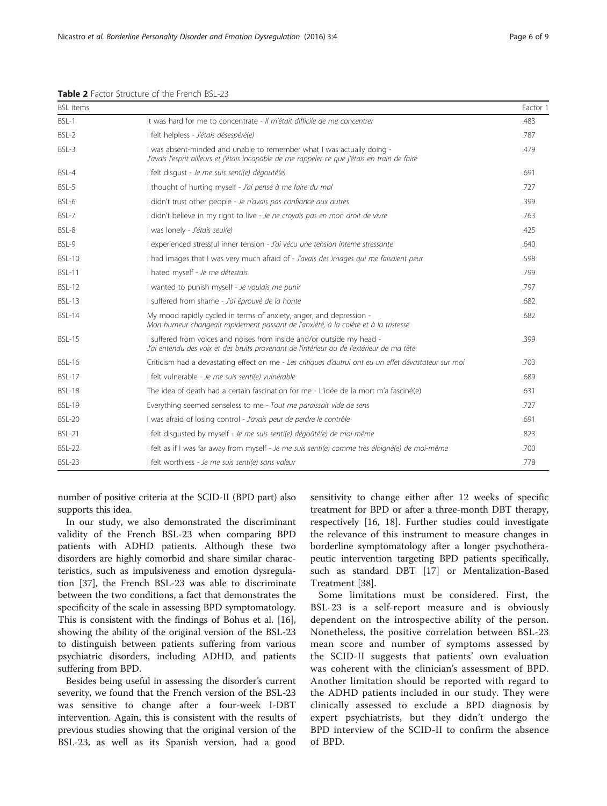| <b>BSL</b> items |                                                                                                                                                                          | Factor 1 |
|------------------|--------------------------------------------------------------------------------------------------------------------------------------------------------------------------|----------|
| $BSI -1$         | It was hard for me to concentrate - Il m'était difficile de me concentrer                                                                                                | .483     |
| $BSI - 2$        | I felt helpless - J'étais désespéré(e)                                                                                                                                   | .787     |
| BSL-3            | I was absent-minded and unable to remember what I was actually doing -<br>J'avais l'esprit ailleurs et j'étais incapable de me rappeler ce que j'étais en train de faire | .479     |
| BSL-4            | I felt disqust - Je me suis senti(e) dégouté(e)                                                                                                                          | .691     |
| $BSI - 5$        | I thought of hurting myself - J'ai pensé à me faire du mal                                                                                                               | .727     |
| BSL-6            | I didn't trust other people - Je n'avais pas confiance aux autres                                                                                                        | .399     |
| $BSI -7$         | I didn't believe in my right to live - Je ne croyais pas en mon droit de vivre                                                                                           | .763     |
| $BSI - 8$        | I was lonely - J'étais seul(e)                                                                                                                                           | .425     |
| BSL-9            | I experienced stressful inner tension - J'ai vécu une tension interne stressante                                                                                         | .640     |
| <b>BSL-10</b>    | I had images that I was very much afraid of - J'avais des images qui me faisaient peur                                                                                   | .598     |
| <b>BSL-11</b>    | I hated myself - Je me détestais                                                                                                                                         | .799     |
| <b>BSL-12</b>    | I wanted to punish myself - Je voulais me punir                                                                                                                          | .797     |
| $BSI - 13$       | I suffered from shame - J'ai éprouvé de la honte                                                                                                                         | .682     |
| <b>BSL-14</b>    | My mood rapidly cycled in terms of anxiety, anger, and depression -<br>Mon humeur changeait rapidement passant de l'anxiété, à la colère et à la tristesse               | .682     |
| <b>BSL-15</b>    | I suffered from voices and noises from inside and/or outside my head -<br>J'ai entendu des voix et des bruits provenant de l'intérieur ou de l'extérieur de ma tête      | .399     |
| <b>BSL-16</b>    | Criticism had a devastating effect on me - Les critiques d'autrui ont eu un effet dévastateur sur moi                                                                    | .703     |
| <b>BSL-17</b>    | I felt vulnerable - Je me suis senti(e) vulnérable                                                                                                                       | .689     |
| <b>BSL-18</b>    | The idea of death had a certain fascination for me - L'idée de la mort m'a fasciné(e)                                                                                    | .631     |
| <b>BSL-19</b>    | Everything seemed senseless to me - Tout me paraissait vide de sens                                                                                                      | .727     |
| <b>BSL-20</b>    | I was afraid of losing control - J'avais peur de perdre le contrôle                                                                                                      | .691     |
| <b>BSL-21</b>    | I felt disqusted by myself - Je me suis senti(e) dégoûté(e) de moi-même                                                                                                  | .823     |
| <b>BSL-22</b>    | I felt as if I was far away from myself - Je me suis senti(e) comme très éloigné(e) de moi-même                                                                          | .700     |
| <b>BSL-23</b>    | I felt worthless - Je me suis senti(e) sans valeur                                                                                                                       | .778     |

<span id="page-5-0"></span>Table 2 Factor Structure of the French BSL-23

number of positive criteria at the SCID-II (BPD part) also supports this idea.

In our study, we also demonstrated the discriminant validity of the French BSL-23 when comparing BPD patients with ADHD patients. Although these two disorders are highly comorbid and share similar characteristics, such as impulsiveness and emotion dysregulation [[37\]](#page-8-0), the French BSL-23 was able to discriminate between the two conditions, a fact that demonstrates the specificity of the scale in assessing BPD symptomatology. This is consistent with the findings of Bohus et al. [\[16](#page-7-0)], showing the ability of the original version of the BSL-23 to distinguish between patients suffering from various psychiatric disorders, including ADHD, and patients suffering from BPD.

Besides being useful in assessing the disorder's current severity, we found that the French version of the BSL-23 was sensitive to change after a four-week I-DBT intervention. Again, this is consistent with the results of previous studies showing that the original version of the BSL-23, as well as its Spanish version, had a good

sensitivity to change either after 12 weeks of specific treatment for BPD or after a three-month DBT therapy, respectively [[16](#page-7-0), [18\]](#page-7-0). Further studies could investigate the relevance of this instrument to measure changes in borderline symptomatology after a longer psychotherapeutic intervention targeting BPD patients specifically, such as standard DBT [\[17](#page-7-0)] or Mentalization-Based Treatment [\[38](#page-8-0)].

Some limitations must be considered. First, the BSL-23 is a self-report measure and is obviously dependent on the introspective ability of the person. Nonetheless, the positive correlation between BSL-23 mean score and number of symptoms assessed by the SCID-II suggests that patients' own evaluation was coherent with the clinician's assessment of BPD. Another limitation should be reported with regard to the ADHD patients included in our study. They were clinically assessed to exclude a BPD diagnosis by expert psychiatrists, but they didn't undergo the BPD interview of the SCID-II to confirm the absence of BPD.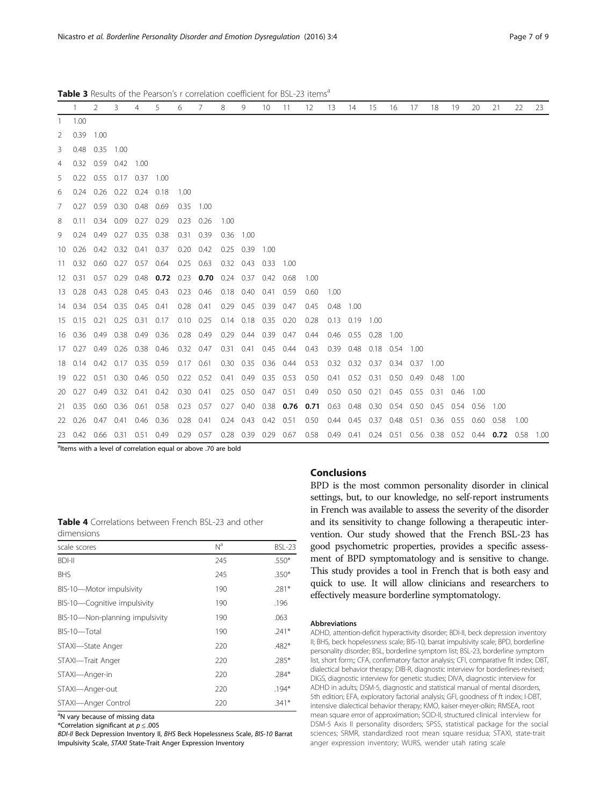|                | -1.                         | $\mathcal{P}$       | 3    | 4                        | 5    | 6                 | 7                             | 8    | 9                   | 10          | 11                  | 12                                      | 13   | 14                   | 15                   | 16        | 17             | 18   | 19                       | 20    | 21                                                     | 22   | 23 |
|----------------|-----------------------------|---------------------|------|--------------------------|------|-------------------|-------------------------------|------|---------------------|-------------|---------------------|-----------------------------------------|------|----------------------|----------------------|-----------|----------------|------|--------------------------|-------|--------------------------------------------------------|------|----|
| 1              | 1.00                        |                     |      |                          |      |                   |                               |      |                     |             |                     |                                         |      |                      |                      |           |                |      |                          |       |                                                        |      |    |
| 2              | $0.39$ 1.00                 |                     |      |                          |      |                   |                               |      |                     |             |                     |                                         |      |                      |                      |           |                |      |                          |       |                                                        |      |    |
| 3              |                             | 0.48 0.35 1.00      |      |                          |      |                   |                               |      |                     |             |                     |                                         |      |                      |                      |           |                |      |                          |       |                                                        |      |    |
| $\overline{4}$ |                             | 0.32 0.59 0.42 1.00 |      |                          |      |                   |                               |      |                     |             |                     |                                         |      |                      |                      |           |                |      |                          |       |                                                        |      |    |
| 5              |                             |                     |      | 0.22 0.55 0.17 0.37 1.00 |      |                   |                               |      |                     |             |                     |                                         |      |                      |                      |           |                |      |                          |       |                                                        |      |    |
| 6              |                             | $0.24$ 0.26         |      | $0.22 \quad 0.24$        | 0.18 | 1.00              |                               |      |                     |             |                     |                                         |      |                      |                      |           |                |      |                          |       |                                                        |      |    |
| 7 <sup>7</sup> |                             | $0.27$ 0.59         | 0.30 | 0.48                     | 0.69 | 0.35              | 1.00                          |      |                     |             |                     |                                         |      |                      |                      |           |                |      |                          |       |                                                        |      |    |
| 8              |                             | $0.11 \quad 0.34$   |      | $0.09$ 0.27 0.29         |      | 0.23              | 0.26                          | 1.00 |                     |             |                     |                                         |      |                      |                      |           |                |      |                          |       |                                                        |      |    |
|                | 9 0.24 0.49 0.27 0.35 0.38  |                     |      |                          |      | 0.31 0.39         |                               | 0.36 | -1.00               |             |                     |                                         |      |                      |                      |           |                |      |                          |       |                                                        |      |    |
|                | 10 0.26 0.42 0.32 0.41      |                     |      |                          | 0.37 | 0.20              | 0.42                          | 0.25 | 0.39                | 1.00        |                     |                                         |      |                      |                      |           |                |      |                          |       |                                                        |      |    |
|                | 11 0.32 0.60 0.27 0.57 0.64 |                     |      |                          |      | 0.25              | 0.63                          |      | $0.32$ 0.43         | 0.33        | - 1.00              |                                         |      |                      |                      |           |                |      |                          |       |                                                        |      |    |
|                | 12 0.31 0.57                |                     | 0.29 | 0.48                     |      |                   | 0.72 0.23 0.70 0.24 0.37 0.42 |      |                     |             | 0.68                | 1.00                                    |      |                      |                      |           |                |      |                          |       |                                                        |      |    |
|                | 13 0.28 0.43 0.28 0.45      |                     |      |                          | 0.43 | 0.23              | 0.46                          | 0.18 |                     | $0.40$ 0.41 | 0.59                | 0.60                                    | 1.00 |                      |                      |           |                |      |                          |       |                                                        |      |    |
|                | 14 0.34 0.54                |                     |      | 0.35 0.45 0.41           |      | $0.28$ 0.41       |                               |      | $0.29$ 0.45 0.39    |             | 0.47                | 0.45                                    | 0.48 | - 1.00               |                      |           |                |      |                          |       |                                                        |      |    |
|                | 15 0.15 0.21 0.25 0.31 0.17 |                     |      |                          |      | $0.10 \quad 0.25$ |                               |      | 0.14 0.18 0.35 0.20 |             |                     | 0.28                                    | 0.13 | $0.19$ 1.00          |                      |           |                |      |                          |       |                                                        |      |    |
|                | 16 0.36 0.49                |                     | 0.38 | 0.49                     | 0.36 | 0.28 0.49         |                               |      | 0.29 0.44 0.39 0.47 |             |                     | 0.44                                    | 0.46 | $0.55$ 0.28          |                      | 1.00      |                |      |                          |       |                                                        |      |    |
|                | 17 0.27 0.49                |                     | 0.26 | 0.38                     | 0.46 | $0.32$ 0.47       |                               |      | 0.31 0.41 0.45      |             | 0.44                | 0.43                                    | 0.39 | 0.48                 | 0.18                 | 0.54      | 1.00           |      |                          |       |                                                        |      |    |
|                | 18 0.14 0.42                |                     |      | $0.17$ 0.35              | 0.59 | $0.17$ 0.61       |                               |      | 0.30 0.35 0.36 0.44 |             |                     | 0.53                                    | 0.32 |                      | 0.32 0.37 0.34 0.37  |           |                | 1.00 |                          |       |                                                        |      |    |
|                | 19 0.22 0.51                |                     | 0.30 | 0.46                     | 0.50 | $0.22$ 0.52       |                               |      | 0.41 0.49 0.35 0.53 |             |                     | 0.50                                    | 0.41 |                      | $0.52$ $0.31$        | 0.50 0.49 |                | 0.48 | 1.00                     |       |                                                        |      |    |
|                | 20 0.27 0.49                |                     |      | $0.32$ $0.41$            | 0.42 | $0.30$ $0.41$     |                               |      | 0.25 0.50 0.47 0.51 |             |                     | 0.49                                    |      | $0.50$ $0.50$ $0.21$ |                      |           | 0.45 0.55 0.31 |      | 0.46                     | -1.00 |                                                        |      |    |
|                | 21 0.35 0.60                |                     |      | $0.36$ $0.61$            | 0.58 | $0.23$ 0.57       |                               |      |                     |             |                     | 0.27 0.40 0.38 0.76 0.71 0.63 0.48 0.30 |      |                      |                      |           |                |      | 0.54 0.50 0.45 0.54 0.56 |       | -1.00                                                  |      |    |
|                | 22 0.26 0.47                |                     | 0.41 | 0.46                     | 0.36 | $0.28$ 0.41       |                               |      | 0.24 0.43 0.42 0.51 |             |                     | 0.50                                    |      |                      | $0.44$ $0.45$ $0.37$ | 0.48 0.51 |                |      | 0.36 0.55 0.60           |       | 0.58                                                   | 1.00 |    |
|                | 23 0.42 0.66 0.31           |                     |      | 0.51                     | 0.49 | $0.29$ 0.57       |                               |      |                     |             | 0.28 0.39 0.29 0.67 | 0.58                                    |      |                      |                      |           |                |      |                          |       | 0.49 0.41 0.24 0.51 0.56 0.38 0.52 0.44 0.72 0.58 1.00 |      |    |

<span id="page-6-0"></span>Table 3 Results of the Pearson's r correlation coefficient for BSL-23 items<sup>a</sup>

<sup>a</sup>ltems with a level of correlation equal or above .70 are bold

### **Conclusions**

Table 4 Correlations between French BSL-23 and other dimensions

| scale scores                    | N <sup>a</sup> | <b>BSL-23</b> |
|---------------------------------|----------------|---------------|
| <b>BDI-II</b>                   | 245            | $.550*$       |
| <b>BHS</b>                      | 245            | $.350*$       |
| BIS-10-Motor impulsivity        | 190            | $.281*$       |
| BIS-10-Cognitive impulsivity    | 190            | .196          |
| BIS-10-Non-planning impulsivity | 190            | .063          |
| BIS-10-Total                    | 190            | $.241*$       |
| STAXI-State Anger               | 220            | $.482*$       |
| STAXI-Trait Anger               | 220            | $.285*$       |
| STAXI-Anger-in                  | 220            | $.284*$       |
| STAXI-Anger-out                 | 220            | $.194*$       |
| STAXI-Anger Control             | 220            | $.341*$       |

<sup>a</sup>N vary because of missing data \*Correlation significant at  $p \leq .005$ 

BDI-II Beck Depression Inventory II, BHS Beck Hopelessness Scale, BIS-10 Barrat Impulsivity Scale, STAXI State-Trait Anger Expression Inventory

settings, but, to our knowledge, no self-report instruments in French was available to assess the severity of the disorder and its sensitivity to change following a therapeutic intervention. Our study showed that the French BSL-23 has good psychometric properties, provides a specific assessment of BPD symptomatology and is sensitive to change. This study provides a tool in French that is both easy and quick to use. It will allow clinicians and researchers to effectively measure borderline symptomatology.

BPD is the most common personality disorder in clinical

#### Abbreviations

ADHD, attention-deficit hyperactivity disorder; BDI-II, beck depression inventory II; BHS, beck hopelessness scale; BIS-10, barrat impulsivity scale; BPD, borderline personality disorder; BSL, borderline symptom list; BSL-23, borderline symptom list, short form;; CFA, confirmatory factor analysis; CFI, comparative fit index; DBT, dialectical behavior therapy; DIB-R, diagnostic interview for borderlines-revised; DIGS, diagnostic interview for genetic studies; DIVA, diagnostic interview for ADHD in adults; DSM-5, diagnostic and statistical manual of mental disorders, 5th edition; EFA, exploratory factorial analysis; GFI, goodness of ft index; I-DBT, intensive dialectical behavior therapy; KMO, kaiser-meyer-olkin; RMSEA, root mean square error of approximation; SCID-II, structured clinical interview for DSM-5 Axis II personality disorders; SPSS, statistical package for the social sciences; SRMR, standardized root mean square residua; STAXI, state-trait anger expression inventory; WURS, wender utah rating scale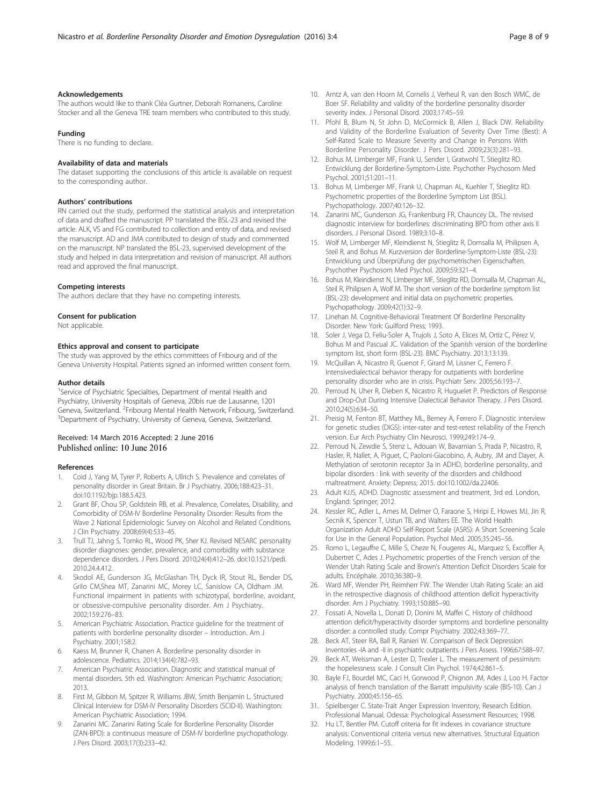### <span id="page-7-0"></span>Acknowledgements

The authors would like to thank Cléa Gurtner, Deborah Romanens, Caroline Stocker and all the Geneva TRE team members who contributed to this study.

#### Funding

There is no funding to declare.

### Availability of data and materials

The dataset supporting the conclusions of this article is available on request to the corresponding author.

### Authors' contributions

RN carried out the study, performed the statistical analysis and interpretation of data and drafted the manuscript. PP translated the BSL-23 and revised the article. ALK, VS and FG contributed to collection and entry of data, and revised the manuscript. AD and JMA contributed to design of study and commented on the manuscript. NP translated the BSL-23, supervised development of the study and helped in data interpretation and revision of manuscript. All authors read and approved the final manuscript.

#### Competing interests

The authors declare that they have no competing interests.

#### Consent for publication

Not applicable.

### Ethics approval and consent to participate

The study was approved by the ethics committees of Fribourg and of the Geneva University Hospital. Patients signed an informed written consent form.

#### Author details

<sup>1</sup>Service of Psychiatric Specialties, Department of mental Health and Psychiatry, University Hospitals of Geneva, 20bis rue de Lausanne, 1201 Geneva, Switzerland. <sup>2</sup>Fribourg Mental Health Network, Fribourg, Switzerland.<br><sup>3</sup>Department of Bevshistry, University of Geneva, Geneva, Switzerland. <sup>3</sup>Department of Psychiatry, University of Geneva, Geneva, Switzerland.

### Received: 14 March 2016 Accepted: 2 June 2016 Published online: 10 June 2016

#### References

- 1. Coid J, Yang M, Tyrer P, Roberts A, Ullrich S. Prevalence and correlates of personality disorder in Great Britain. Br J Psychiatry. 2006;188:423–31. doi[:10.1192/bjp.188.5.423.](http://dx.doi.org/10.1192/bjp.188.5.423)
- 2. Grant BF, Chou SP, Goldstein RB, et al. Prevalence, Correlates, Disability, and Comorbidity of DSM-IV Borderline Personality Disorder: Results from the Wave 2 National Epidemiologic Survey on Alcohol and Related Conditions. J Clin Psychiatry. 2008;69(4):533–45.
- 3. Trull TJ, Jahng S, Tomko RL, Wood PK, Sher KJ. Revised NESARC personality disorder diagnoses: gender, prevalence, and comorbidity with substance dependence disorders. J Pers Disord. 2010;24(4):412–26. doi[:10.1521/pedi.](http://dx.doi.org/10.1521/pedi.2010.24.4.412) [2010.24.4.412](http://dx.doi.org/10.1521/pedi.2010.24.4.412).
- Skodol AE, Gunderson JG, McGlashan TH, Dyck IR, Stout RL, Bender DS, Grilo CM,Shea MT, Zanarini MC, Morey LC, Sanislow CA, Oldham JM. Functional impairment in patients with schizotypal, borderline, avoidant, or obsessive-compulsive personality disorder. Am J Psychiatry. 2002;159:276–83.
- 5. American Psychiatric Association. Practice guideline for the treatment of patients with borderline personality disorder – Introduction. Am J Psychiatry. 2001;158:2.
- 6. Kaess M, Brunner R, Chanen A. Borderline personality disorder in adolescence. Pediatrics. 2014;134(4):782–93.
- 7. American Psychiatric Association. Diagnostic and statistical manual of mental disorders. 5th ed. Washington: American Psychiatric Association; 2013.
- 8. First M, Gibbon M, Spitzer R, Williams JBW, Smith Benjamin L. Structured Clinical Interview for DSM-IV Personality Disorders (SCID-II). Washington: American Psychiatric Association; 1994.
- Zanarini MC. Zanarini Rating Scale for Borderline Personality Disorder (ZAN-BPD): a continuous measure of DSM-IV borderline psychopathology. J Pers Disord. 2003;17(3):233–42.
- 10. Arntz A, van den Hoorn M, Cornelis J, Verheul R, van den Bosch WMC, de Boer SF. Reliability and validity of the borderline personality disorder severity index. J Personal Disord. 2003;17:45–59.
- 11. Pfohl B, Blum N, St John D, McCormick B, Allen J, Black DW. Reliability and Validity of the Borderline Evaluation of Severity Over Time (Best): A Self-Rated Scale to Measure Severity and Change in Persons With Borderline Personality Disorder. J Pers Disord. 2009;23(3):281–93.
- 12. Bohus M, Limberger MF, Frank U, Sender I, Gratwohl T, Stieglitz RD. Entwicklung der Borderline-Symptom-Liste. Psychother Psychosom Med Psychol. 2001;51:201–11.
- 13. Bohus M, Limberger MF, Frank U, Chapman AL, Kuehler T, Stieglitz RD. Psychometric properties of the Borderline Symptom List (BSL). Psychopathology. 2007;40:126–32.
- 14. Zanarini MC, Gunderson JG, Frankenburg FR, Chauncey DL. The revised diagnostic interview for borderlines: discriminating BPD from other axis II disorders. J Personal Disord. 1989;3:10–8.
- 15. Wolf M, Limberger MF, Kleindienst N, Stieglitz R, Domsalla M, Philipsen A, Steil R, and Bohus M. Kurzversion der Borderline-Symptom-Liste (BSL-23): Entwicklung und Überprüfung der psychometrischen Eigenschaften. Psychother Psychosom Med Psychol. 2009;59:321–4.
- 16. Bohus M, Kleindienst N, Limberger MF, Stieglitz RD, Domsalla M, Chapman AL, Steil R, Philipsen A, Wolf M. The short version of the borderline symptom list (BSL-23): development and initial data on psychometric properties. Psychopathology. 2009;42(1):32–9.
- 17. Linehan M. Cognitive-Behavioral Treatment Of Borderline Personality Disorder. New York: Guilford Press; 1993.
- 18. Soler J, Vega D, Feliu-Soler A, Trujols J, Soto A, Elices M, Ortiz C, Pérez V, Bohus M and Pascual JC. Validation of the Spanish version of the borderline symptom list, short form (BSL-23). BMC Psychiatry. 2013;13:139.
- 19. McQuillan A, Nicastro R, Guenot F, Girard M, Lissner C, Ferrero F. Intensivedialectical behavior therapy for outpatients with borderline personality disorder who are in crisis. Psychiatr Serv. 2005;56:193–7.
- 20. Perroud N, Uher R, Dieben K, Nicastro R, Huguelet P. Predictors of Response and Drop-Out During Intensive Dialectical Behavior Therapy. J Pers Disord. 2010;24(5):634–50.
- 21. Preisig M, Fenton BT, Matthey ML, Berney A, Ferrero F. Diagnostic interview for genetic studies (DIGS): inter-rater and test-retest reliability of the French version. Eur Arch Psychiatry Clin Neurosci. 1999;249:174–9.
- 22. Perroud N, Zewdie S, Stenz L, Adouan W, Bavamian S, Prada P, Nicastro, R, Hasler, R, Nallet, A, Piguet, C, Paoloni-Giacobino, A, Aubry, JM and Dayer, A. Methylation of serotonin receptor 3a in ADHD, borderline personality, and bipolar disorders : link with severity of the disorders and childhood maltreatment. Anxiety: Depress; 2015. doi[:10.1002/da.22406.](http://dx.doi.org/10.1002/da.22406)
- 23. Adult KJJS, ADHD. Diagnostic assessment and treatment, 3rd ed. London, England: Springer; 2012.
- 24. Kessler RC, Adler L, Ames M, Delmer O, Faraone S, Hiripi E, Howes MJ, Jin R, Secnik K, Spencer T, Ustun TB, and Walters EE. The World Health Organization Adult ADHD Self-Report Scale (ASRS): A Short Screening Scale for Use in the General Population. Psychol Med. 2005;35:245–56.
- 25. Romo L, Legauffre C, Mille S, Cheze N, Fougeres AL, Marquez S, Excoffier A, Dubertret C, Ades J. Psychometric properties of the French version of the Wender Utah Rating Scale and Brown's Attention Deficit Disorders Scale for adults. Encéphale. 2010;36:380–9.
- 26. Ward MF, Wender PH, Reimherr FW. The Wender Utah Rating Scale: an aid in the retrospective diagnosis of childhood attention deficit hyperactivity disorder. Am J Psychiatry. 1993;150:885–90.
- 27. Fossati A, Novella L, Donati D, Donini M, Maffei C. History of childhood attention deficit/hyperactivity disorder symptoms and borderline personality disorder: a controlled study. Compr Psychiatry. 2002;43:369–77.
- 28. Beck AT, Steer RA, Ball R, Ranieri W. Comparison of Beck Depression Inventories -IA and -II in psychiatric outpatients. J Pers Assess. 1996;67:588–97.
- 29. Beck AT, Weissman A, Lester D, Trexler L. The measurement of pessimism: the hopelessness scale. J Consult Clin Psychol. 1974;42:861–5.
- 30. Bayle FJ, Bourdel MC, Caci H, Gorwood P, Chignon JM, Ades J, Loo H. Factor analysis of french translation of the Barratt impulsivity scale (BIS-10). Can J Psychiatry. 2000;45:156–65.
- 31. Spielberger C. State-Trait Anger Expression Inventory, Research Edition. Professional Manual. Odessa: Psychological Assessment Resources; 1998.
- 32. Hu LT, Bentler PM. Cutoff criteria for fit indexes in covariance structure analysis: Conventional criteria versus new alternatives. Structural Equation Modeling. 1999;6:1–55.